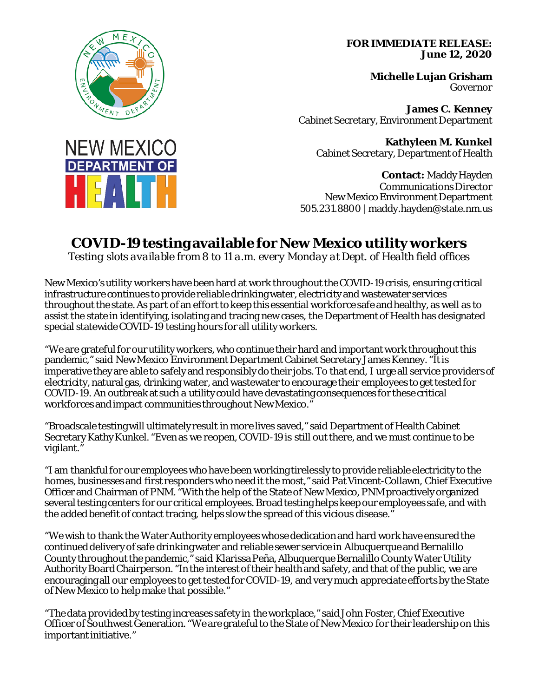## **FOR IMMEDIATE RELEASE: June 12, 2020**

**Michelle Lujan Grisham** Governor

**James C. Kenney** Cabinet Secretary, Environment Department

**Kathyleen M. Kunkel** Cabinet Secretary, Department of Health

**Contact:** Maddy Hayden Communications Director New Mexico Environment Department 505.231.8800 | maddy.hayden@state.nm.us

## **COVID-19 testing available for New Mexico utility workers**

*Testing slots available from 8 to 11 a.m. every Monday at Dept. of Health field offices*

New Mexico's utility workers have been hard at work throughout the COVID-19 crisis, ensuring critical infrastructure continues to provide reliable drinking water, electricity and wastewater services throughout the state. As part of an effort to keep this essential workforce safe and healthy, as well as to assist the state in identifying, isolating and tracing new cases, the Department of Health has designated special statewide COVID-19 testing hours for all utility workers.

"We are grateful for our utility workers, who continue their hard and important work throughout this pandemic," said New Mexico Environment Department Cabinet Secretary James Kenney. "Itis imperative they are able to safely and responsibly do their jobs. To that end, I urge all service providers of electricity, natural gas, drinking water, and wastewater to encourage their employees to get tested for COVID-19. An outbreak at such a utility could have devastating consequences for these critical workforces and impact communities throughout New Mexico."

"Broadscale testing will ultimately result in more lives saved," said Department of Health Cabinet Secretary Kathy Kunkel. "Even as we reopen, COVID-19 is still out there, and we must continue to be vigilant."

"I am thankful for our employees who have been working tirelessly to provide reliable electricity to the homes, businesses and first responders who need it the most," said Pat Vincent-Collawn, Chief Executive Officer and Chairman of PNM. "With the help of the State of New Mexico, PNM proactively organized several testing centers for our critical employees. Broad testing helps keep our employees safe, and with the added benefit of contact tracing, helps slow the spread of this vicious disease."

"We wish to thank the Water Authority employees whose dedication and hard work have ensured the continued delivery of safe drinking water and reliable sewer service in Albuquerque and Bernalillo County throughout the pandemic," said Klarissa Peña,Albuquerque Bernalillo County Water Utility Authority Board Chairperson. "In the interest of their health and safety, and that of the public, we are encouraging all our employees to get tested for COVID-19, and very much appreciate efforts by the State of New Mexico to help make that possible."

"The data provided by testing increases safety in the workplace," said John Foster, Chief Executive Officer of Southwest Generation. "We are grateful to the State of New Mexico for their leadership on this important initiative."



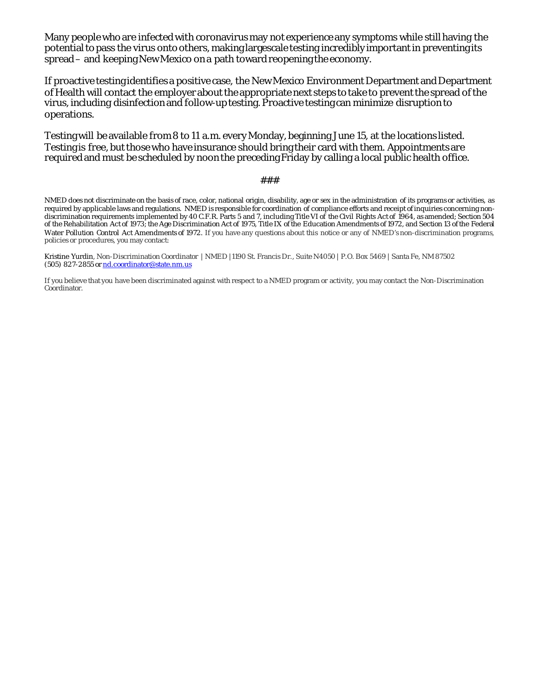Many people who are infected with coronavirus may not experience any symptoms while still having the potential to pass the virus onto others, making largescale testing incredibly important in preventing its spread – and keeping New Mexico on a path toward reopening the economy.

If proactive testing identifies a positive case, the New Mexico Environment Department and Department of Health will contact the employer about the appropriate next steps to take to prevent the spread of the virus, including disinfection and follow-up testing. Proactive testing can minimize disruption to operations.

Testing will be available from 8 to 11 a.m. every Monday, beginning June 15, at the locations listed. Testing is free, but those who have insurance should bring their card with them. Appointments are required and must be scheduled by noon the preceding Friday by calling a local public health office.

## ###

NMED does not discriminate on the basis of race, color, national origin, disability, age or sex in the administration of its programs or activities, as required by applicable laws and regulations. NMED is responsible for coordination of compliance efforts and receipt of inquiries concerning nondiscrimination requirements implemented by 40 C.F.R. Parts 5 and 7, including Title VI of the Civil Rights Act of 1964, as amended; Section 504 of the Rehabilitation Act of 1973; the Age Discrimination Act of 1975, Title IX of the Education Amendments of 1972, and Section 13 of the Federal Water Pollution Control Act Amendments of 1972. If you have any questions about this notice or any of NMED's non-discrimination programs, policies or procedures, you may contact:

Kristine Yurdin, Non-Discrimination Coordinator | NMED |1190 St. Francis Dr., Suite N4050 | P.O. Box 5469 | Santa Fe, NM 87502 (505) 827-2855 o[r nd.coordinator@state.nm.us](mailto:nd.coordinator@state.nm.us)

If you believe that you have been discriminated against with respect to a NMED program or activity, you may contact the Non-Discrimination Coordinator.